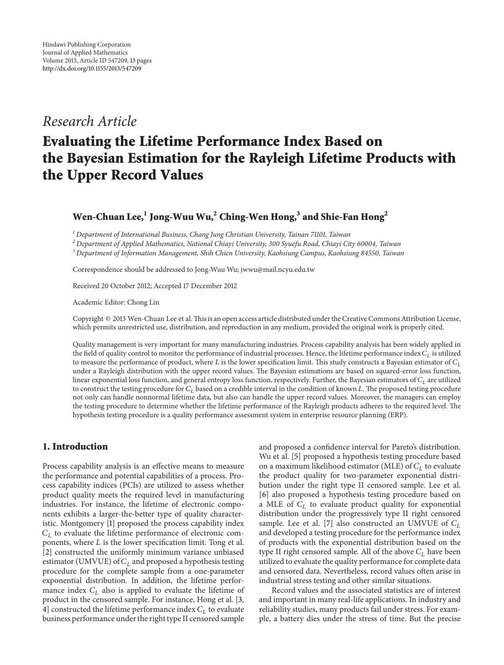## *Research Article*

# **Evaluating the Lifetime Performance Index Based on the Bayesian Estimation for the Rayleigh Lifetime Products with the Upper Record Values**

## **Wen-Chuan Lee,<sup>1</sup> Jong-Wuu Wu,2 Ching-Wen Hong,<sup>3</sup> and Shie-Fan Hong<sup>2</sup>**

*<sup>1</sup> Department of International Business, Chang Jung Christian University, Tainan 71101, Taiwan*

*<sup>2</sup> Department of Applied Mathematics, National Chiayi University, 300 Syuefu Road, Chiayi City 60004, Taiwan*

*<sup>3</sup> Department of Information Management, Shih Chien University, Kaohsiung Campus, Kaohsiung 84550, Taiwan*

Correspondence should be addressed to Jong-Wuu Wu; jwwu@mail.ncyu.edu.tw

Received 20 October 2012; Accepted 17 December 2012

Academic Editor: Chong Lin

Copyright © 2013 Wen-Chuan Lee et al.This is an open access article distributed under the Creative Commons Attribution License, which permits unrestricted use, distribution, and reproduction in any medium, provided the original work is properly cited.

Quality management is very important for many manufacturing industries. Process capability analysis has been widely applied in the field of quality control to monitor the performance of industrial processes. Hence, the lifetime performance index  $C<sub>L</sub>$  is utilized to measure the performance of product, where L is the lower specification limit. This study constructs a Bayesian estimator of  $C_L$ under a Rayleigh distribution with the upper record values. The Bayesian estimations are based on squared-error loss function, linear exponential loss function, and general entropy loss function, respectively. Further, the Bayesian estimators of  $C<sub>L</sub>$  are utilized to construct the testing procedure for  $C_L$  based on a credible interval in the condition of known L. The proposed testing procedure not only can handle nonnormal lifetime data, but also can handle the upper record values. Moreover, the managers can employ the testing procedure to determine whether the lifetime performance of the Rayleigh products adheres to the required level. The hypothesis testing procedure is a quality performance assessment system in enterprise resource planning (ERP).

## **1. Introduction**

Process capability analysis is an effective means to measure the performance and potential capabilities of a process. Process capability indices (PCIs) are utilized to assess whether product quality meets the required level in manufacturing industries. For instance, the lifetime of electronic components exhibits a larger-the-better type of quality characteristic. Montgomery [1] proposed the process capability index  $C_L$  to evaluate the lifetime performance of electronic components, where  $L$  is the lower specification limit. Tong et al. [2] constructed the uniformly minimum variance unbiased estimator (UMVUE) of  $C_L$  and proposed a hypothesis testing procedure for the complete sample from a one-parameter exponential distribution. In addition, the lifetime performance index  $C_L$  also is applied to evaluate the lifetime of product in the censored sample. For instance, Hong et al. [3, 4] constructed the lifetime performance index  $C_L$  to evaluate business performance under the right type II censored sample

and proposed a confidence interval for Pareto's distribution. Wu et al. [5] proposed a hypothesis testing procedure based on a maximum likelihood estimator (MLE) of  $C_L$  to evaluate the product quality for two-parameter exponential distribution under the right type II censored sample. Lee et al. [6] also proposed a hypothesis testing procedure based on a MLE of  $C_L$  to evaluate product quality for exponential distribution under the progressively type II right censored sample. Lee et al. [7] also constructed an UMVUE of  $C_L$ and developed a testing procedure for the performance index of products with the exponential distribution based on the type II right censored sample. All of the above  $C_L$  have been utilized to evaluate the quality performance for complete data and censored data. Nevertheless, record values often arise in industrial stress testing and other similar situations.

Record values and the associated statistics are of interest and important in many real-life applications. In industry and reliability studies, many products fail under stress. For example, a battery dies under the stress of time. But the precise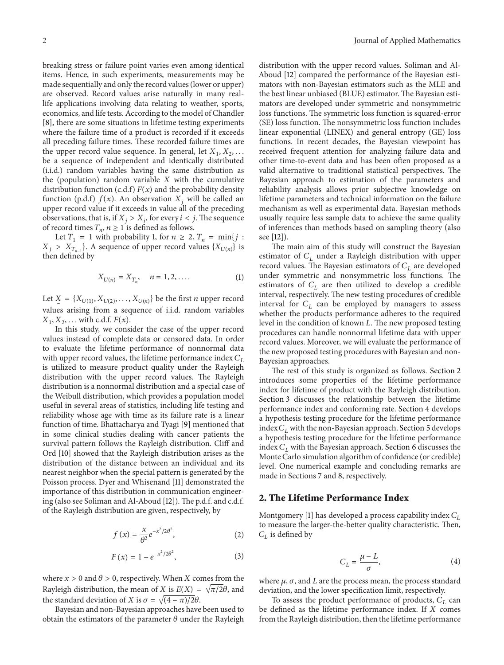breaking stress or failure point varies even among identical items. Hence, in such experiments, measurements may be made sequentially and only the record values (lower or upper) are observed. Record values arise naturally in many reallife applications involving data relating to weather, sports, economics, and life tests. According to the model of Chandler [8], there are some situations in lifetime testing experiments where the failure time of a product is recorded if it exceeds all preceding failure times. These recorded failure times are the upper record value sequence. In general, let  $X_1, X_2, \ldots$ be a sequence of independent and identically distributed (i.i.d.) random variables having the same distribution as the (population) random variable  $X$  with the cumulative distribution function (c.d.f)  $F(x)$  and the probability density function (p.d.f)  $f(x)$ . An observation  $X_i$ , will be called an upper record value if it exceeds in value all of the preceding observations, that is, if  $X_i > X_i$ , for every  $i < j$ . The sequence of record times  $T_n$ ,  $n \ge 1$  is defined as follows.

Let  $T_1 = 1$  with probability 1, for  $n \ge 2$ ,  $T_n = \min\{j :$  $X_j > X_{T_{n-1}}$ . A sequence of upper record values  $\{X_{U(n)}\}$  is then defined by

$$
X_{U(n)} = X_{T_n}, \quad n = 1, 2, .... \tag{1}
$$

Let  $X = \{X_{U(1)}, X_{U(2)}, \ldots, X_{U(n)}\}$  be the first *n* upper record values arising from a sequence of i.i.d. random variables  $X_1, X_2, \ldots$  with c.d.f.  $F(x)$ .

In this study, we consider the case of the upper record values instead of complete data or censored data. In order to evaluate the lifetime performance of nonnormal data with upper record values, the lifetime performance index  $C_L$ is utilized to measure product quality under the Rayleigh distribution with the upper record values. The Rayleigh distribution is a nonnormal distribution and a special case of the Weibull distribution, which provides a population model useful in several areas of statistics, including life testing and reliability whose age with time as its failure rate is a linear function of time. Bhattacharya and Tyagi [9] mentioned that in some clinical studies dealing with cancer patients the survival pattern follows the Rayleigh distribution. Cliff and Ord [10] showed that the Rayleigh distribution arises as the distribution of the distance between an individual and its nearest neighbor when the special pattern is generated by the Poisson process. Dyer and Whisenand [11] demonstrated the importance of this distribution in communication engineering (also see Soliman and Al-Aboud [12]). The p.d.f. and c.d.f. of the Rayleigh distribution are given, respectively, by

$$
f(x) = \frac{x}{\theta^2} e^{-x^2/2\theta^2},
$$
 (2)

$$
F(x) = 1 - e^{-x^2/2\theta^2},
$$
 (3)

where  $x > 0$  and  $\theta > 0$ , respectively. When X comes from the Rayleigh distribution, the mean of X is  $E(X) = \sqrt{\pi/2}\theta$ , and the standard deviation of X is  $\sigma = \sqrt{(4 - \pi)/2\theta}$ .

Bayesian and non-Bayesian approaches have been used to obtain the estimators of the parameter  $\theta$  under the Rayleigh distribution with the upper record values. Soliman and Al-Aboud [12] compared the performance of the Bayesian estimators with non-Bayesian estimators such as the MLE and the best linear unbiased (BLUE) estimator. The Bayesian estimators are developed under symmetric and nonsymmetric loss functions. The symmetric loss function is squared-error (SE) loss function. The nonsymmetric loss function includes linear exponential (LINEX) and general entropy (GE) loss functions. In recent decades, the Bayesian viewpoint has received frequent attention for analyzing failure data and other time-to-event data and has been often proposed as a valid alternative to traditional statistical perspectives. The Bayesian approach to estimation of the parameters and reliability analysis allows prior subjective knowledge on lifetime parameters and technical information on the failure mechanism as well as experimental data. Bayesian methods usually require less sample data to achieve the same quality of inferences than methods based on sampling theory (also see [12]).

The main aim of this study will construct the Bayesian estimator of  $C<sub>L</sub>$  under a Rayleigh distribution with upper record values. The Bayesian estimators of  $C_L$  are developed under symmetric and nonsymmetric loss functions. The estimators of  $C_L$  are then utilized to develop a credible interval, respectively. The new testing procedures of credible interval for  $C_L$  can be employed by managers to assess whether the products performance adheres to the required level in the condition of known  $L$ . The new proposed testing procedures can handle nonnormal lifetime data with upper record values. Moreover, we will evaluate the performance of the new proposed testing procedures with Bayesian and non-Bayesian approaches.

The rest of this study is organized as follows. Section 2 introduces some properties of the lifetime performance index for lifetime of product with the Rayleigh distribution. Section 3 discusses the relationship between the lifetime performance index and conforming rate. Section 4 develops a hypothesis testing procedure for the lifetime performance index  $C_L$  with the non-Bayesian approach. Section 5 develops a hypothesis testing procedure for the lifetime performance index  $C_L$  with the Bayesian approach. Section 6 discusses the Monte Carlo simulation algorithm of confidence (or credible) level. One numerical example and concluding remarks are made in Sections 7 and 8, respectively.

## **2. The Lifetime Performance Index**

Montgomery [1] has developed a process capability index  $C_L$ to measure the larger-the-better quality characteristic. Then,  $C_L$  is defined by

$$
C_L = \frac{\mu - L}{\sigma},\tag{4}
$$

where  $\mu$ ,  $\sigma$ , and  $L$  are the process mean, the process standard deviation, and the lower specification limit, respectively.

To assess the product performance of products,  $C_L$  can be defined as the lifetime performance index. If  $X$  comes from the Rayleigh distribution, then the lifetime performance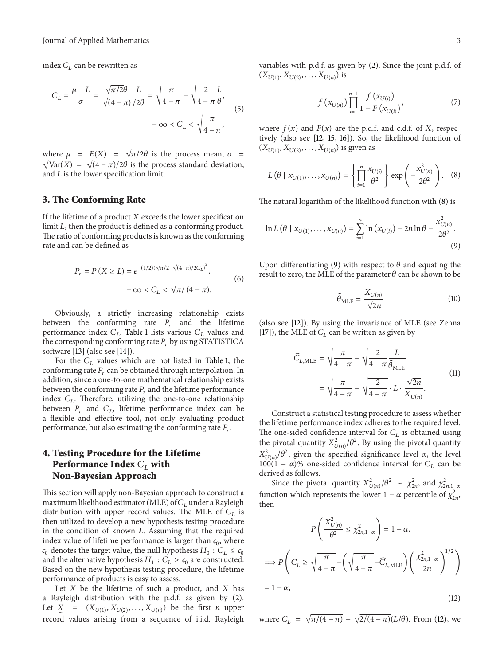index  $C_L$  can be rewritten as

$$
C_L = \frac{\mu - L}{\sigma} = \frac{\sqrt{\pi/2}\theta - L}{\sqrt{(4 - \pi)/2}\theta} = \sqrt{\frac{\pi}{4 - \pi}} - \sqrt{\frac{2}{4 - \pi}} \frac{L}{\theta},
$$

$$
-\infty < C_L < \sqrt{\frac{\pi}{4 - \pi}},
$$
(5)

where  $\mu = E(X) = \sqrt{\pi/2}\theta$  is the process mean,  $\sigma =$  $\sqrt{\text{Var}(X)} = \sqrt{\frac{4 - \pi}{2\theta}}$  is the process standard deviation, and  $L$  is the lower specification limit.

## **3. The Conforming Rate**

If the lifetime of a product  $X$  exceeds the lower specification limit  $L$ , then the product is defined as a conforming product. The ratio of conforming products is known as the conforming rate and can be defined as

$$
P_r = P(X \ge L) = e^{-(1/2)(\sqrt{\pi/2} - \sqrt{(4-\pi)/2}C_L)^2},
$$
  

$$
-\infty < C_L < \sqrt{\pi/(4-\pi)}.
$$
 (6)

Obviously, a strictly increasing relationship exists between the conforming rate  $P_r$  and the lifetime performance index  $C_L$ . Table 1 lists various  $C_L$  values and the corresponding conforming rate  $P_r$  by using STATISTICA software [13] (also see [14]).

For the  $C<sub>L</sub>$  values which are not listed in Table 1, the conforming rate  $P_r$  can be obtained through interpolation. In addition, since a one-to-one mathematical relationship exists between the conforming rate  $P_r$  and the lifetime performance index  $C_L$ . Therefore, utilizing the one-to-one relationship between  $P_r$  and  $C_l$ , lifetime performance index can be a flexible and effective tool, not only evaluating product performance, but also estimating the conforming rate  $P_r$ .

## **4. Testing Procedure for the Lifetime Performance Index**  $C_{\text{L}}$  with **Non-Bayesian Approach**

This section will apply non-Bayesian approach to construct a maximum likelihood estimator (MLE) of  $C_L$  under a Rayleigh distribution with upper record values. The MLE of  $C_L$  is then utilized to develop a new hypothesis testing procedure in the condition of known  $L$ . Assuming that the required index value of lifetime performance is larger than  $c_0$ , where  $c_0$  denotes the target value, the null hypothesis  $H_0$  :  $C_L \leq c_0$ and the alternative hypothesis  $H_1 : C_L > c_0$  are constructed. Based on the new hypothesis testing procedure, the lifetime performance of products is easy to assess.

Let  $X$  be the lifetime of such a product, and  $X$  has a Rayleigh distribution with the p.d.f. as given by (2). Let  $X = (X_{U(1)}, X_{U(2)}, \ldots, X_{U(n)})$  be the first *n* upper record values arising from a sequence of i.i.d. Rayleigh variables with p.d.f. as given by (2). Since the joint p.d.f. of  $(X_{U(1)}, X_{U(2)}, \ldots, X_{U(n)})$  is

$$
f(x_{U(n)}) \prod_{i=1}^{n-1} \frac{f(x_{U(i)})}{1 - F(x_{U(i)})},
$$
\n(7)

where  $f(x)$  and  $F(x)$  are the p.d.f. and c.d.f. of X, respectively (also see [12, 15, 16]). So, the likelihood function of  $(X_{U(1)}, X_{U(2)}, \ldots, X_{U(n)})$  is given as

$$
L(\theta \mid x_{U(1)}, \dots, x_{U(n)}) = \left\{ \prod_{i=1}^{n} \frac{x_{U(i)}}{\theta^2} \right\} \exp \left( -\frac{x_{U(n)}^2}{2\theta^2} \right). \quad (8)
$$

The natural logarithm of the likelihood function with (8) is

$$
\ln L(\theta \mid x_{U(1)}, \dots, x_{U(n)}) = \sum_{i=1}^{n} \ln (x_{U(i)}) - 2n \ln \theta - \frac{x_{U(n)}^2}{2\theta^2}.
$$
\n(9)

Upon differentiating (9) with respect to  $\theta$  and equating the result to zero, the MLE of the parameter  $\theta$  can be shown to be

$$
\widehat{\theta}_{MLE} = \frac{X_{U(n)}}{\sqrt{2n}} \tag{10}
$$

(also see [12]). By using the invariance of MLE (see Zehna [17]), the MLE of  $C_L$  can be written as given by

$$
\widehat{C}_{L,\text{MLE}} = \sqrt{\frac{\pi}{4 - \pi}} - \sqrt{\frac{2}{4 - \pi}} \frac{L}{\widehat{\theta}_{\text{MLE}}}
$$
\n
$$
= \sqrt{\frac{\pi}{4 - \pi}} - \sqrt{\frac{2}{4 - \pi}} \cdot L \cdot \frac{\sqrt{2n}}{X_{U(n)}}.
$$
\n(11)

Construct a statistical testing procedure to assess whether the lifetime performance index adheres to the required level. The one-sided confidence interval for  $C_L$  is obtained using the pivotal quantity  $X^2_{U(n)}/\theta^2$ . By using the pivotal quantity  $X_{U(n)}^2/\theta^2$ , given the specified significance level  $\alpha$ , the level  $100(1 - \alpha)$ % one-sided confidence interval for  $C_L$  can be derived as follows.

Since the pivotal quantity  $X_{U(n)}^2/\theta^2 \sim \chi_{2n}^2$ , and  $\chi_{2n,1-a}^2$ function which represents the lower  $1 - \alpha$  percentile of  $\chi^2_{2n}$ . then

$$
P\left(\frac{X_{U(n)}^2}{\theta^2} \le \chi_{2n,1-\alpha}^2\right) = 1 - \alpha,
$$
  
\n
$$
\implies P\left(C_L \ge \sqrt{\frac{\pi}{4-\pi}} - \left(\sqrt{\frac{\pi}{4-\pi}} - \widehat{C}_{L,\text{MLE}}\right) \left(\frac{\chi_{2n,1-\alpha}^2}{2n}\right)^{1/2}\right)
$$
  
\n= 1 - \alpha, (12)

where  $C_L = \sqrt{\pi/(4-\pi)} - \sqrt{2/(4-\pi)}(L/\theta)$ . From (12), we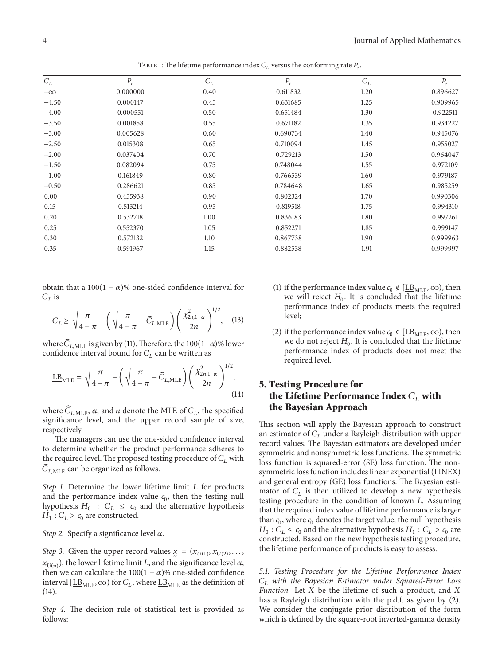| $C_{\mathcal{L}}$ | $P_r$    | $C_L$ | $P_r$    | $C_L$ | $P_{r}$  |
|-------------------|----------|-------|----------|-------|----------|
| $-\infty$         | 0.000000 | 0.40  | 0.611832 | 1.20  | 0.896627 |
| $-4.50$           | 0.000147 | 0.45  | 0.631685 | 1.25  | 0.909965 |
| $-4.00$           | 0.000551 | 0.50  | 0.651484 | 1.30  | 0.922511 |
| $-3.50$           | 0.001858 | 0.55  | 0.671182 | 1.35  | 0.934227 |
| $-3.00$           | 0.005628 | 0.60  | 0.690734 | 1.40  | 0.945076 |
| $-2.50$           | 0.015308 | 0.65  | 0.710094 | 1.45  | 0.955027 |
| $-2.00$           | 0.037404 | 0.70  | 0.729213 | 1.50  | 0.964047 |
| $-1.50$           | 0.082094 | 0.75  | 0.748044 | 1.55  | 0.972109 |
| $-1.00$           | 0.161849 | 0.80  | 0.766539 | 1.60  | 0.979187 |
| $-0.50$           | 0.286621 | 0.85  | 0.784648 | 1.65  | 0.985259 |
| 0.00              | 0.455938 | 0.90  | 0.802324 | 1.70  | 0.990306 |
| 0.15              | 0.513214 | 0.95  | 0.819518 | 1.75  | 0.994310 |
| 0.20              | 0.532718 | 1.00  | 0.836183 | 1.80  | 0.997261 |
| 0.25              | 0.552370 | 1.05  | 0.852271 | 1.85  | 0.999147 |
| 0.30              | 0.572132 | 1.10  | 0.867738 | 1.90  | 0.999963 |
| 0.35              | 0.591967 | 1.15  | 0.882538 | 1.91  | 0.999997 |

TABLE 1: The lifetime performance index  $C_L$  versus the conforming rate  $P_r$ .

obtain that a  $100(1 - \alpha)$ % one-sided confidence interval for  $C_L$  is

$$
C_L \ge \sqrt{\frac{\pi}{4-\pi}} - \left(\sqrt{\frac{\pi}{4-\pi}} - \widehat{C}_{L,\text{MLE}}\right) \left(\frac{\chi^2_{2n,1-\alpha}}{2n}\right)^{1/2}, \quad (13)
$$

where  $\widehat{C}_{L,\text{MLE}}$  is given by (11). Therefore, the 100(1– $\alpha$ )% lower confidence interval bound for  $C_L$  can be written as

$$
\underline{\text{LB}}_{\text{MLE}} = \sqrt{\frac{\pi}{4 - \pi}} - \left(\sqrt{\frac{\pi}{4 - \pi}} - \widehat{C}_{L, \text{MLE}}\right) \left(\frac{\chi^2_{2n, 1 - \alpha}}{2n}\right)^{1/2},\tag{14}
$$

where  $\widehat{C}_{L,MLE}$ ,  $\alpha$ , and *n* denote the MLE of  $C_L$ , the specified significance level, and the upper record sample of size, respectively.

The managers can use the one-sided confidence interval to determine whether the product performance adheres to the required level. The proposed testing procedure of  $C_L$  with  $\widehat{C}$  and the proposed of follows  $C_{LMLE}$  can be organized as follows.

*Step 1.* Determine the lower lifetime limit *L* for products and the performance index value  $c_0$ , then the testing null hypothesis  $H_0 : C_L \leq c_0$  and the alternative hypothesis  $H_1$ :  $C_L > c_0$  are constructed.

*Step 2.* Specify a significance level  $\alpha$ .

*Step 3.* Given the upper record values  $x = (x_{U(1)}, x_{U(2)}, \ldots, x_{U(n)})$  $\sum_{U(n)}^{I}$ , the lower lifetime limit L, and the significance level  $\alpha$ , then we can calculate the  $100(1 - \alpha)$ % one-sided confidence interval [ $\underline{LB}_{MLE}$ ,  $\infty$ ) for  $C_L$ , where  $\underline{LB}_{MLE}$  as the definition of (14).

*Step 4.* The decision rule of statistical test is provided as follows:

- (1) if the performance index value  $c_0 \notin [\underline{\text{LB}}_{MLE}, \infty)$ , then we will reject  $H_0$ . It is concluded that the lifetime performance index of products meets the required level;
- (2) if the performance index value  $c_0 \in [\underline{LB}_{MLE}, \infty)$ , then we do not reject  $H_0$ . It is concluded that the lifetime performance index of products does not meet the required level.

## **5. Testing Procedure for the Lifetime Performance Index**  $C_L$  with **the Bayesian Approach**

This section will apply the Bayesian approach to construct an estimator of  $C_L$  under a Rayleigh distribution with upper record values. The Bayesian estimators are developed under symmetric and nonsymmetric loss functions. The symmetric loss function is squared-error (SE) loss function. The nonsymmetric loss function includes linear exponential (LINEX) and general entropy (GE) loss functions. The Bayesian estimator of  $C_L$  is then utilized to develop a new hypothesis testing procedure in the condition of known  $L$ . Assuming that the required index value of lifetime performance is larger than  $c_0$ , where  $c_0$  denotes the target value, the null hypothesis  $H_0$ :  $C_L \leq c_0$  and the alternative hypothesis  $H_1$ :  $C_L > c_0$  are constructed. Based on the new hypothesis testing procedure, the lifetime performance of products is easy to assess.

*5.1. Testing Procedure for the Lifetime Performance Index with the Bayesian Estimator under Squared-Error Loss Function.* Let  $X$  be the lifetime of such a product, and  $X$ has a Rayleigh distribution with the p.d.f. as given by (2). We consider the conjugate prior distribution of the form which is defined by the square-root inverted-gamma density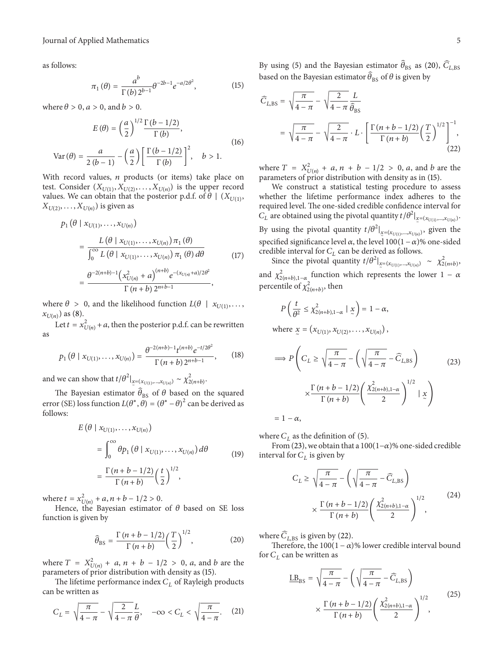as follows:

$$
\pi_1(\theta) = \frac{a^b}{\Gamma(b) 2^{b-1}} \theta^{-2b-1} e^{-a/2\theta^2},
$$
\n(15)

where  $\theta > 0$ ,  $a > 0$ , and  $b > 0$ .

$$
E(\theta) = \left(\frac{a}{2}\right)^{1/2} \frac{\Gamma(b - 1/2)}{\Gamma(b)},
$$
  
\n
$$
Var(\theta) = \frac{a}{2(b-1)} - \left(\frac{a}{2}\right) \left[\frac{\Gamma(b - 1/2)}{\Gamma(b)}\right]^2, \quad b > 1.
$$
\n(16)

With record values,  $n$  products (or items) take place on test. Consider  $(X_{U(1)}, X_{U(2)},...,X_{U(n)})$  is the upper record values. We can obtain that the posterior p.d.f. of  $\theta \mid (X_{U(1)},$  $(X_{U(2)},...,X_{U(n)})$  is given as

$$
p_1 (\theta | x_{U(1)},..., x_{U(n)})
$$
  
= 
$$
\frac{L(\theta | x_{U(1)},..., x_{U(n)}) \pi_1 (\theta)}{\int_0^\infty L(\theta | x_{U(1)},..., x_{U(n)}) \pi_1 (\theta) d\theta}
$$
  
= 
$$
\frac{\theta^{-2(n+b)-1} (x_{U(n)}^2 + a)^{(n+b)} e^{-(x_{U(n)}+a)/2\theta^2}}{\Gamma(n+b) 2^{n+b-1}},
$$
 (17)

where  $\theta > 0$ , and the likelihood function  $L(\theta \mid x_{U(1)},...,$ where  $\infty$ <br> $(x_{U(n)})$  as (8).

Let  $t = x_{U(n)}^2 + a$ , then the posterior p.d.f. can be rewritten as

$$
p_1(\theta \mid x_{U(1)}, \dots, x_{U(n)}) = \frac{\theta^{-2(n+b)-1} t^{(n+b)} e^{-t/2\theta^2}}{\Gamma(n+b) 2^{n+b-1}},
$$
 (18)

and we can show that  $t/\theta^2|_{\mathcal{Z}=(x_{U(1)},...,x_{U(n)})} \sim \chi^2_{2(n+b)}$ .

The Bayesian estimator  $\hat{\theta}_{BS}$  of  $\theta$  based on the squared error (SE) loss function  $L(\theta^*, \theta) = (\theta^* - \theta)^2$  can be derived as follows:

$$
E(\theta | x_{U(1)},..., x_{U(n)})
$$
  
= 
$$
\int_0^\infty \theta p_1(\theta | x_{U(1)},..., x_{U(n)}) d\theta
$$
  
= 
$$
\frac{\Gamma(n+b-1/2)}{\Gamma(n+b)} \left(\frac{t}{2}\right)^{1/2},
$$
 (19)

where  $t = x_{U(n)}^2 + a$ ,  $n + b - 1/2 > 0$ .

Hence, the Bayesian estimator of  $\theta$  based on SE loss function is given by

$$
\widehat{\theta}_{\rm BS} = \frac{\Gamma\left(n + b - 1/2\right)}{\Gamma\left(n + b\right)} \left(\frac{T}{2}\right)^{1/2},\tag{20}
$$

where  $T = X_{U(n)}^2 + a, n + b - 1/2 > 0, a$ , and b are the parameters of prior distribution with density as (15).

The lifetime performance index  $C_L$  of Rayleigh products can be written as

$$
C_L = \sqrt{\frac{\pi}{4-\pi}} - \sqrt{\frac{2}{4-\pi}} \frac{L}{\theta}, \quad -\infty < C_L < \sqrt{\frac{\pi}{4-\pi}}. \tag{21}
$$

By using (5) and the Bayesian estimator  $\widehat{\theta}_{\texttt{BS}}$  as (20),  $\widehat{C}_{L,\texttt{BS}}$ based on the Bayesian estimator  $\hat{\theta}_{BS}$  of  $\theta$  is given by

$$
\widehat{C}_{L,BS} = \sqrt{\frac{\pi}{4-\pi}} - \sqrt{\frac{2}{4-\pi}} \frac{L}{\widehat{\theta}_{BS}}
$$

$$
= \sqrt{\frac{\pi}{4-\pi}} - \sqrt{\frac{2}{4-\pi}} \cdot L \cdot \left[ \frac{\Gamma(n+b-1/2)}{\Gamma(n+b)} \left(\frac{T}{2}\right)^{1/2} \right]^{-1}, \tag{22}
$$

where  $T = X_{U(n)}^2 + a, n + b - 1/2 > 0, a$ , and b are the parameters of prior distribution with density as in (15).

We construct a statistical testing procedure to assess whether the lifetime performance index adheres to the required level. The one-sided credible confidence interval for  $C_L$  are obtained using the pivotal quantity  $t/\theta^2|_{\mathbf{x}=(x_{U(1)},...,x_{U(n)})}$ . By using the pivotal quantity  $t/\theta^2|_{\mathcal{Z}=(x_{U(1)},...,x_{U(n)})}$ , given the specified significance level  $\alpha$ , the level 100(1 –  $\alpha$ )% one-sided credible interval for  $C_L$  can be derived as follows.

Since the pivotal quantity  $t/\theta^2|_{\mathcal{Z}=(x_{U(1)},...,x_{U(n)})}$  ~  $\chi^2_{2(n+b)}$ . and  $\chi^2_{2(n+b),1-\alpha}$  function which represents the lower  $1-\alpha$ percentile of  $\chi^2_{2(n+b)}$ , then

$$
P\left(\frac{t}{\theta^2} \leq \chi^2_{2(n+b),1-\alpha} \mid \underline{x}\right) = 1 - \alpha,
$$

where  $x = (x_{U(1)}, x_{U(2)}, \ldots, x_{U(n)})$ ,

$$
\implies P\left(C_L \ge \sqrt{\frac{\pi}{4-\pi}} - \left(\sqrt{\frac{\pi}{4-\pi}} - \widehat{C}_{L,\text{BS}}\right) \times \frac{\Gamma(n+b-1/2)}{\Gamma(n+b)} \left(\frac{\chi^2_{2(n+b),1-\alpha}}{2}\right)^{1/2} \mid \mathbf{x}\right)
$$
\n(23)

 $= 1 - \alpha,$ 

where  $C_L$  as the definition of (5).

From (23), we obtain that a 100(1- $\alpha$ )% one-sided credible interval for  $C_L$  is given by

$$
C_L \ge \sqrt{\frac{\pi}{4-\pi}} - \left(\sqrt{\frac{\pi}{4-\pi}} - \widehat{C}_{L,\text{BS}}\right)
$$

$$
\times \frac{\Gamma(n+b-1/2)}{\Gamma(n+b)} \left(\frac{\chi^2_{2(n+b),1-\alpha}}{2}\right)^{1/2},\tag{24}
$$

where  $\widehat{C}_{L,BS}$  is given by (22).

Therefore, the  $100(1 - \alpha)$ % lower credible interval bound for  $C_L$  can be written as

$$
\underline{\text{LB}}_{\text{BS}} = \sqrt{\frac{\pi}{4 - \pi}} - \left(\sqrt{\frac{\pi}{4 - \pi}} - \widehat{C}_{L, \text{BS}}\right)
$$

$$
\times \frac{\Gamma(n + b - 1/2)}{\Gamma(n + b)} \left(\frac{\chi^2_{2(n + b), 1 - \alpha}}{2}\right)^{1/2}, \tag{25}
$$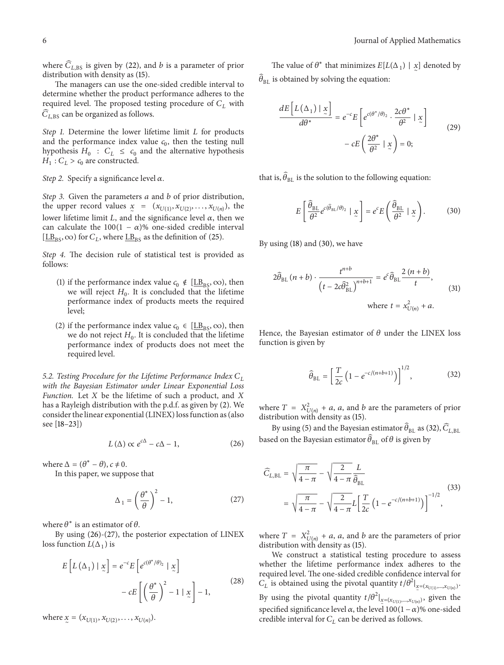where  $\widehat{C}_{L,BS}$  is given by (22), and *b* is a parameter of prior distribution with density as (15).

The managers can use the one-sided credible interval to determine whether the product performance adheres to the required level. The proposed testing procedure of  $C_L$  with  $\widehat{C}$  can be apparented as follows.  $C_{L,BS}$  can be organized as follows.

*Step 1.* Determine the lower lifetime limit *L* for products and the performance index value  $c_0$ , then the testing null hypothesis  $H_0 : C_L \leq c_0$  and the alternative hypothesis  $H_1$ :  $C_L > c_0$  are constructed.

*Step 2.* Specify a significance level  $\alpha$ .

*Step 3.* Given the parameters a and b of prior distribution, the upper record values  $x = (x_{U(1)}, x_{U(2)},...,x_{U(n)})$ , the lower lifetime limit  $L$ , and the significance level  $\alpha$ , then we can calculate the 100(1 –  $\alpha$ )% one-sided credible interval  $[\underline{LB}_{BS}, \infty)$  for  $C_L$ , where  $\underline{LB}_{BS}$  as the definition of (25).

*Step 4.* The decision rule of statistical test is provided as follows:

- (1) if the performance index value  $c_0 \notin [\underline{LB}_{BS}, \infty)$ , then we will reject  $H_0$ . It is concluded that the lifetime performance index of products meets the required level;
- (2) if the performance index value  $c_0 \in [\underline{LB}_{BS}, \infty)$ , then we do not reject  $H_0$ . It is concluded that the lifetime performance index of products does not meet the required level.

*5.2. Testing Procedure for the Lifetime Performance Index with the Bayesian Estimator under Linear Exponential Loss Function.* Let *X* be the lifetime of such a product, and *X* has a Rayleigh distribution with the p.d.f. as given by (2). We consider the linear exponential (LINEX) loss function as (also see [18–23])

$$
L(\Delta) \propto e^{c\Delta} - c\Delta - 1, \qquad (26)
$$

where  $\Delta = (\theta^* - \theta), c \neq 0$ .

In this paper, we suppose that

$$
\Delta_1 = \left(\frac{\theta^*}{\theta}\right)^2 - 1,\tag{27}
$$

where  $\theta^*$  is an estimator of  $\theta$ .

By using (26)-(27), the posterior expectation of LINEX loss function  $L(\Delta_1)$  is

$$
E\left[L\left(\Delta_{1}\right)|\underline{x}\right] = e^{-c}E\left[e^{c(\theta^{*}/\theta)_{2}}|\underline{x}\right] - cE\left[\left(\frac{\theta^{*}}{\theta}\right)^{2} - 1|\underline{x}\right] - 1, \tag{28}
$$

where  $x = (x_{U(1)}, x_{U(2)}, \ldots, x_{U(n)}).$ 

The value of  $\theta^*$  that minimizes  $E[L(\Delta_1) | x]$  denoted by  $\widehat{\theta}_{\texttt{BL}}$  is obtained by solving the equation:

$$
\frac{dE\left[L\left(\Delta_{1}\right)|\underline{x}\right]}{d\theta^{*}} = e^{-c}E\left[e^{c(\theta^{*}/\theta)_{2}} \cdot \frac{2c\theta^{*}}{\theta^{2}}| \underline{x}\right] - cE\left(\frac{2\theta^{*}}{\theta^{2}}| \underline{x}\right) = 0;
$$
\n(29)

that is,  $\widehat{\theta}_{\texttt{BL}}$  is the solution to the following equation:

$$
E\left[\frac{\hat{\theta}_{\text{BL}}}{\theta^2}e^{c(\hat{\theta}_{\text{BL}}/\theta)_2} \mid \underline{x}\right] = e^c E\left(\frac{\hat{\theta}_{\text{BL}}}{\theta^2} \mid \underline{x}\right). \tag{30}
$$

By using (18) and (30), we have

$$
2\hat{\theta}_{BL}(n+b)\cdot\frac{t^{n+b}}{\left(t-2c\hat{\theta}_{BL}^2\right)^{n+b+1}}=e^c\hat{\theta}_{BL}\frac{2(n+b)}{t},\tag{31}
$$
  
where  $t=x_{U(n)}^2+a$ .

Hence, the Bayesian estimator of  $\theta$  under the LINEX loss function is given by

$$
\hat{\theta}_{\text{BL}} = \left[\frac{T}{2c} \left(1 - e^{-c/(n+b+1)}\right)\right]^{1/2},\tag{32}
$$

where  $T = X^2_{U(n)} + a$ , a, and b are the parameters of prior distribution with density as (15).

By using (5) and the Bayesian estimator  $\widehat{\theta}_{BL}$  as (32),  $\widehat{C}_{L,BL}$ based on the Bayesian estimator  $\hat{\theta}_{BL}$  of  $\theta$  is given by

$$
\widehat{C}_{L,BL} = \sqrt{\frac{\pi}{4 - \pi}} - \sqrt{\frac{2}{4 - \pi}} \frac{L}{\widehat{\theta}_{BL}}
$$
\n
$$
= \sqrt{\frac{\pi}{4 - \pi}} - \sqrt{\frac{2}{4 - \pi}} L \left[ \frac{T}{2c} \left( 1 - e^{-c/(n + b + 1)} \right) \right]^{-1/2},
$$
\n(33)

where  $T = X_{U(n)}^2 + a$ , a, and b are the parameters of prior distribution with density as (15).

We construct a statistical testing procedure to assess whether the lifetime performance index adheres to the required level. The one-sided credible confidence interval for  $C_L$  is obtained using the pivotal quantity  $t/\theta^2|_{\mathbf{x}=(x_{U(1)},...,x_{U(n)})}$ . By using the pivotal quantity  $t/\theta^2|_{\underline{x}=(x_{U(1)},...,x_{U(n)})}$ , given the specified significance level  $\alpha$ , the level 100(1 –  $\alpha$ )% one-sided credible interval for  $C_L$  can be derived as follows.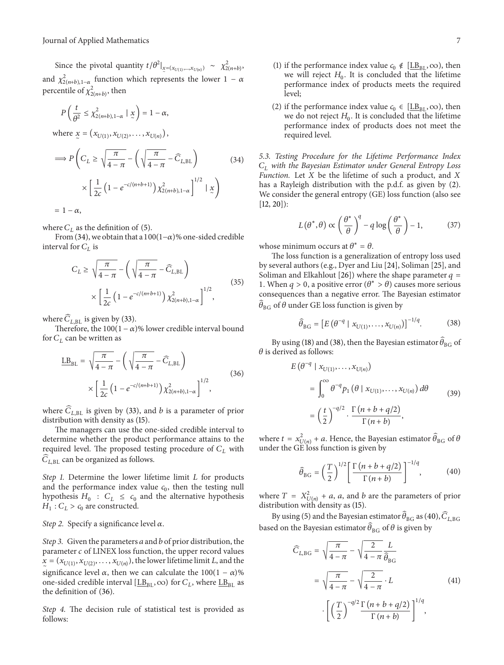Since the pivotal quantity  $t/\theta^2|_{\mathcal{Z}=(x_{U(1)},...,x_{U(n)})} \sim \chi^2_{2(n+b)},$ and  $\chi^2_{2(n+b),1-\alpha}$  function which represents the lower  $1-\alpha$ percentile of  $\chi^2_{2(n+b)}$ , then

$$
P\left(\frac{t}{\theta^2} \le \chi^2_{2(n+b),1-\alpha} \mid \underline{x}\right) = 1 - \alpha,
$$
  
where  $\underline{x} = (x_{U(1)}, x_{U(2)}, \dots, x_{U(n)})$ ,  

$$
\implies P\left(C_L \ge \sqrt{\frac{\pi}{4 - \pi}} - \left(\sqrt{\frac{\pi}{4 - \pi}} - \widehat{C}_{L,BL}\right) \times \left[\frac{1}{2c} \left(1 - e^{-c/(n+b+1)}\right) \chi^2_{2(n+b),1-\alpha}\right]^{1/2} \mid \underline{x}\right)
$$

$$
= 1 - \alpha,
$$
 (34)

where  $C_L$  as the definition of (5).

From (34), we obtain that a 100(1– $\alpha$ )% one-sided credible interval for  $C_L$  is

$$
C_L \ge \sqrt{\frac{\pi}{4-\pi}} - \left(\sqrt{\frac{\pi}{4-\pi}} - \widehat{C}_{L, BL}\right)
$$

$$
\times \left[\frac{1}{2c} \left(1 - e^{-c/(n+b+1)}\right) \chi^2_{2(n+b), 1-\alpha}\right]^{1/2},
$$
(35)

where  $\widehat{C}_{L,\text{BL}}$  is given by (33).

Therefore, the  $100(1 - \alpha)$ % lower credible interval bound for  $C_L$  can be written as

$$
\underline{\text{LB}}_{\text{BL}} = \sqrt{\frac{\pi}{4 - \pi}} - \left(\sqrt{\frac{\pi}{4 - \pi}} - \widehat{C}_{L, \text{BL}}\right) \times \left[\frac{1}{2c} \left(1 - e^{-c/(n+b+1)}\right) \chi_{2(n+b), 1-\alpha}^2\right]^{1/2},\tag{36}
$$

where  $\widehat{C}_{L,BL}$  is given by (33), and *b* is a parameter of prior distribution with density as (15).

The managers can use the one-sided credible interval to determine whether the product performance attains to the required level. The proposed testing procedure of  $C_L$  with Equincul level. The proposed test<br> $\widehat{C}_{L,\text{BL}}$  can be organized as follows.

*Step 1.* Determine the lower lifetime limit *L* for products and the performance index value  $c_0$ , then the testing null hypothesis  $H_0 : C_L \leq c_0$  and the alternative hypothesis  $H_1$ :  $C_L > c_0$  are constructed.

*Step 2.* Specify a significance level  $\alpha$ .

*Step 3.* Given the parameters *a* and *b* of prior distribution, the parameter  $c$  of LINEX loss function, the upper record values  $\chi = (x_{U(1)}, x_{U(2)},...,x_{U(n)})$ , the lower lifetime limit L, and the significance level  $\alpha$ , then we can calculate the 100(1 –  $\alpha$ )% one-sided credible interval  $[\underline{LB}_{BL}, \infty)$  for  $C_L$ , where  $\underline{LB}_{BL}$  as the definition of (36).

*Step 4.* The decision rule of statistical test is provided as follows:

- (1) if the performance index value  $c_0 \notin [\underline{LB}_{BL}, \infty)$ , then we will reject  $H_0$ . It is concluded that the lifetime performance index of products meets the required level;
- (2) if the performance index value  $c_0 \in [\underline{LB}_{\text{RI}}, \infty)$ , then we do not reject  $H_0$ . It is concluded that the lifetime performance index of products does not meet the required level.

*5.3. Testing Procedure for the Lifetime Performance Index with the Bayesian Estimator under General Entropy Loss Function.* Let  $X$  be the lifetime of such a product, and  $X$ has a Rayleigh distribution with the p.d.f. as given by (2). We consider the general entropy (GE) loss function (also see  $[12, 20]$ :

$$
L(\theta^*, \theta) \propto \left(\frac{\theta^*}{\theta}\right)^q - q \log\left(\frac{\theta^*}{\theta}\right) - 1,\tag{37}
$$

whose minimum occurs at  $\theta^* = \theta$ .

The loss function is a generalization of entropy loss used by several authors (e.g., Dyer and Liu [24], Soliman [25], and Soliman and Elkahlout [26]) where the shape parameter  $q =$ 1. When  $q > 0$ , a positive error  $(\theta^* > \theta)$  causes more serious consequences than a negative error. The Bayesian estimator ̂ $\widehat{\theta}_{\text{BG}}$  of  $\theta$  under GE loss function is given by

$$
\widehat{\theta}_{BG} = \left[ E \left( \theta^{-q} \mid x_{U(1)}, \dots, x_{U(n)} \right) \right]^{-1/q} . \tag{38}
$$

By using (18) and (38), then the Bayesian estimator  $\widehat{\theta}_{\mathrm{BG}}$  of  $\theta$  is derived as follows:

$$
E(\theta^{-q} | x_{U(1)},..., x_{U(n)})
$$
  
= 
$$
\int_0^\infty \theta^{-q} p_1(\theta | x_{U(1)},..., x_{U(n)}) d\theta
$$
  
= 
$$
\left(\frac{t}{2}\right)^{-q/2} \cdot \frac{\Gamma(n+b+q/2)}{\Gamma(n+b)},
$$
 (39)

where  $t = x_{U(n)}^2 + a$ . Hence, the Bayesian estimator  $\widehat{\theta}_{BG}$  of  $\theta$ under the GE loss function is given by

$$
\widehat{\theta}_{BG} = \left(\frac{T}{2}\right)^{1/2} \left[\frac{\Gamma\left(n+b+q/2\right)}{\Gamma\left(n+b\right)}\right]^{-1/q},\tag{40}
$$

where  $T = X_{U(n)}^2 + a$ , a, and b are the parameters of prior distribution with density as (15).

By using (5) and the Bayesian estimator  $\widehat{\theta}_{BG}$  as (40),  $\widehat{C}_{LBG}$ based on the Bayesian estimator  $\hat{\theta}_{BG}$  of  $\theta$  is given by

$$
\widehat{C}_{L,BG} = \sqrt{\frac{\pi}{4-\pi}} - \sqrt{\frac{2}{4-\pi}} \frac{L}{\widehat{\theta}_{BG}}
$$

$$
= \sqrt{\frac{\pi}{4-\pi}} - \sqrt{\frac{2}{4-\pi}} \cdot L \qquad (41)
$$

$$
\cdot \left[ \left(\frac{T}{2}\right)^{-q/2} \frac{\Gamma(n+b+q/2)}{\Gamma(n+b)} \right]^{1/q},
$$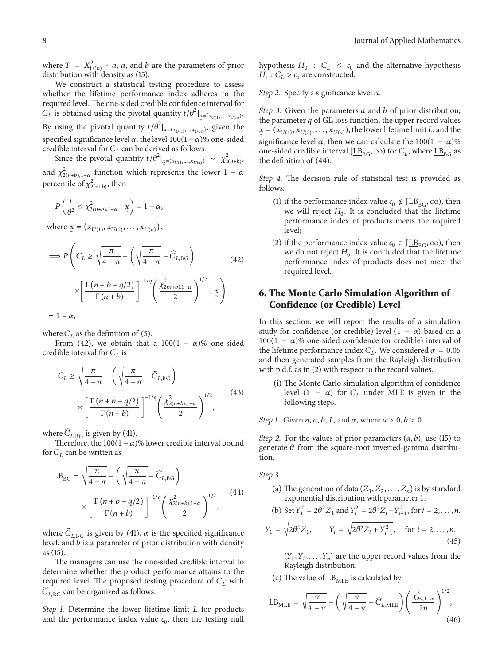where  $T = X^2_{U(n)} + a$ , a, and b are the parameters of prior distribution with density as (15).

We construct a statistical testing procedure to assess whether the lifetime performance index adheres to the required level. The one-sided credible confidence interval for  $C_L$  is obtained using the pivotal quantity  $t/\theta^2|_{\underline{x}=(x_{U(1)},...,x_{U(n)})}$ . By using the pivotal quantity  $t/\theta^2|_{\underline{x}=(x_{U(1)},...,x_{U(n)})}$ , given the specified significance level  $\alpha$ , the level 100(1 –  $\alpha$ )% one-sided credible interval for  $C_L$  can be derived as follows.

Since the pivotal quantity  $t/\theta^2|_{\underline{x}=(x_{U(1)},...,x_{U(n)})} \sim \chi^2_{2(n+b)},$ and  $\chi^2_{2(n+b),1-\alpha}$  function which represents the lower  $1-\alpha$ percentile of  $\chi^2_{2(n+b)}$ , then

$$
P\left(\frac{t}{\theta^2} \leq \chi^2_{2(n+b),1-\alpha} \mid \underline{x}\right) = 1-\alpha,
$$

where  $x = (x_{U(1)}, x_{U(2)}, \ldots, x_{U(n)})$ ,

$$
\Rightarrow P\left(C_L \ge \sqrt{\frac{\pi}{4-\pi}} - \left(\sqrt{\frac{\pi}{4-\pi}} - \widehat{C}_{L,\text{BG}}\right) \times \left[\frac{\Gamma(n+b+q/2)}{\Gamma(n+b)}\right]^{-1/q} \left(\frac{\chi^2_{2(n+b),1-\alpha}}{2}\right)^{1/2} | x \right)
$$

$$
= 1 - \alpha,
$$

where  $C_L$  as the definition of (5).

From (42), we obtain that a 100(1 –  $\alpha$ )% one-sided credible interval for  $C_L$  is

$$
C_L \ge \sqrt{\frac{\pi}{4-\pi}} - \left(\sqrt{\frac{\pi}{4-\pi}} - \widehat{C}_{L,\text{BG}}\right)
$$

$$
\times \left[\frac{\Gamma(n+b+q/2)}{\Gamma(n+b)}\right]^{-1/q} \left(\frac{\chi^2_{2(n+b),1-\alpha}}{2}\right)^{1/2},\tag{43}
$$

where  $\overline{C}_{L,BG}$  is given by (41).

Therefore, the  $100(1 - \alpha)$ % lower credible interval bound for  $C_L$  can be written as

$$
\underline{\text{LB}}_{\text{BG}} = \sqrt{\frac{\pi}{4 - \pi}} - \left(\sqrt{\frac{\pi}{4 - \pi}} - \widehat{C}_{L, \text{BG}}\right)
$$

$$
\times \left[\frac{\Gamma\left(n + b + q/2\right)}{\Gamma\left(n + b\right)}\right]^{-1/q} \left(\frac{\chi^2_{2\left(n + b\right), 1 - \alpha}}{2}\right)^{1/2},\tag{44}
$$

where  $\widehat{C}_{L, BG}$  is given by (41),  $\alpha$  is the specified significance level, and  $b$  is a parameter of prior distribution with density as (15).

The managers can use the one-sided credible interval to determine whether the product performance attains to the required level. The proposed testing procedure of  $C_L$  with  $\widehat{C}$  can be croanized as follows  $C_{L,\text{BG}}$  can be organized as follows.

*Step 1.* Determine the lower lifetime limit *L* for products and the performance index value  $c_0$ , then the testing null

hypothesis  $H_0 : C_L \leq c_0$  and the alternative hypothesis  $H \cdot C \geq c_0$  are constructed  $H_1$ :  $C_L > c_0$  are constructed.

*Step 2.* Specify a significance level  $\alpha$ .

*Step 3.* Given the parameters *a* and *b* of prior distribution, the parameter  $q$  of GE loss function, the upper record values  $\frac{x}{x} = (x_{U(1)}, x_{U(2)}, \ldots, x_{U(n)})$ , the lower lifetime limit L, and the significance level  $\alpha$ , then we can calculate the 100(1 –  $\alpha$ )% one-sided credible interval [ $L\underline{B}_{BG}$ ,  $\infty$ ) for  $C_L$ , where  $\underline{LB}_{BG}$  as the definition of (44).

*Step 4.* The decision rule of statistical test is provided as follows:

- (1) if the performance index value  $c_0 \notin [\underline{\text{LB}}_{BG}, \infty)$ , then we will reject  $H_0$ . It is concluded that the lifetime performance index of products meets the required level;
- (2) if the performance index value  $c_0 \in [\underline{LB}_{BG}, \infty)$ , then we do not reject  $H_0$ . It is concluded that the lifetime performance index of products does not meet the required level.

## **6. The Monte Carlo Simulation Algorithm of Confidence (or Credible) Level**

In this section, we will report the results of a simulation study for confidence (or credible) level  $(1 - \alpha)$  based on a  $100(1 - \alpha)$ % one-sided confidence (or credible) interval of the lifetime performance index  $C_L$ . We considered  $\alpha = 0.05$ and then generated samples from the Rayleigh distribution with p.d.f. as in (2) with respect to the record values.

- (i) The Monte Carlo simulation algorithm of confidence level (1 –  $\alpha$ ) for  $C_L$  under MLE is given in the following steps.
- *Step 1.* Given *n*, *a*, *b*, *L*, and  $\alpha$ , where  $a > 0$ ,  $b > 0$ .

*Step 2.* For the values of prior parameters  $(a, b)$ , use (15) to generate  $\theta$  from the square-root inverted-gamma distribution.

*Step 3.*

(a) The generation of data  $(Z_1, Z_2, \ldots, Z_n)$  is by standard exponential distribution with parameter <sup>1</sup>.

(b) Set 
$$
Y_1^2 = 2\theta^2 Z_1
$$
 and  $Y_i^2 = 2\theta^2 Z_i + Y_{i-1}^2$ , for  $i = 2, ..., n$ .

$$
Y_1 = \sqrt{2\theta^2 Z_1}
$$
,  $Y_i = \sqrt{2\theta^2 Z_i + Y_{i-1}^2}$ , for  $i = 2,...,n$ . (45)

 $(Y_1, Y_2, \ldots, Y_n)$  are the upper record values from the Rayleigh distribution.

(c) The value of  $\underline{LB}_{MLE}$  is calculated by

$$
\underline{\text{LB}}_{\text{MLE}} = \sqrt{\frac{\pi}{4-\pi}} - \left(\sqrt{\frac{\pi}{4-\pi}} - \widehat{C}_{L,\text{MLE}}\right) \left(\frac{\chi^2_{2n,1-\alpha}}{2n}\right)^{1/2},\tag{46}
$$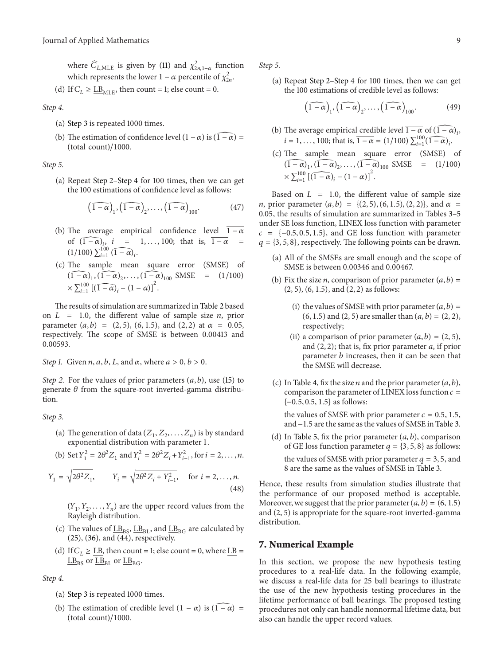where  $\widehat{C}_{L,\text{MLE}}$  is given by (11) and  $\chi^2_{2n,1-\alpha}$  function which represents the lower  $1 - \alpha$  percentile of  $\chi^2_{2n}$ .

(d) If 
$$
C_L \geq \underline{\text{LB}}_{\text{MLE}}
$$
, then count = 1; else count = 0.

*Step 4.*

- (a) Step 3 is repeated 1000 times.
- (b) The estimation of confidence level  $(1 \alpha)$  is  $(\widehat{1 \alpha}) =$  (total count)/1000.

*Step 5.*

(a) Repeat Step 2–Step 4 for 100 times, then we can get the 100 estimations of confidence level as follows:

$$
\left(\widehat{1-\alpha}\right)_{1}, \left(\widehat{1-\alpha}\right)_{2}, \ldots, \left(\widehat{1-\alpha}\right)_{100}.
$$
 (47)

- (b) The average empirical confidence level  $1-\alpha$ of  $(1 - \alpha)_i$ ,  $i = 1, ..., 100$ ; that is,  $1 - \alpha$  =  $(1/100) \sum_{i=1}^{100} (1-\alpha)_i$ .
- (c) The sample mean square error (SMSE) of (1 −  $\alpha$ )<sub>1</sub>, (1 −  $\alpha$ )<sub>2</sub>, ..., (1 −  $\alpha$ )<sub>100</sub> SMSE = (1/100)  $\times \sum_{i=1}^{100} \left[ \left( \overline{1-\alpha} \right)_i - \left( 1-\alpha \right) \right]^2.$

The results of simulation are summarized in Table 2 based on  $L = 1.0$ , the different value of sample size *n*, prior parameter  $(a, b) = (2, 5)$ ,  $(6, 1.5)$ , and  $(2, 2)$  at  $\alpha = 0.05$ , respectively. The scope of SMSE is between 0.00413 and 0.00593.

*Step 1.* Given *n*, *a*, *b*, *L*, and  $\alpha$ , where  $a > 0$ ,  $b > 0$ .

*Step 2.* For the values of prior parameters  $(a, b)$ , use (15) to generate  $\theta$  from the square-root inverted-gamma distribution.

*Step 3.*

- (a) The generation of data  $(Z_1, Z_2, \ldots, Z_n)$  is by standard exponential distribution with parameter <sup>1</sup>.
- (b) Set  $Y_1^2 = 2\theta^2 Z_1$  and  $Y_i^2 = 2\theta^2 Z_i + Y_{i-1}^2$ , for  $i = 2, ..., n$ .

$$
Y_1 = \sqrt{2\theta^2 Z_1}, \qquad Y_i = \sqrt{2\theta^2 Z_i + Y_{i-1}^2}, \quad \text{for } i = 2, ..., n.
$$
\n(48)

 $(Y_1, Y_2, \ldots, Y_n)$  are the upper record values from the Rayleigh distribution.

- (c) The values of  $\underline{LB}_{BS}$ ,  $\underline{LB}_{BL}$ , and  $\underline{LB}_{BG}$  are calculated by (25), (36), and (44), respectively.
- (d) If  $C_I \geq L$ B, then count = 1; else count = 0, where LB =  $\underline{LB}_{BS}$  or  $\underline{LB}_{BL}$  or  $\underline{LB}_{BG}$ .

*Step 4.*

- (a) Step 3 is repeated 1000 times.
- (b) The estimation of credible level  $(1 \alpha)$  is  $(\widehat{1 \alpha})$  =  $(t \text{otal count})/1000$ .

*Step 5.*

(a) Repeat Step 2–Step 4 for 100 times, then we can get the 100 estimations of credible level as follows:

$$
\left(\widehat{1-\alpha}\right)_1, \left(\widehat{1-\alpha}\right)_2, \dots, \left(\widehat{1-\alpha}\right)_{100}.\tag{49}
$$

- (b) The average empirical credible level  $\overline{1-\alpha}$  of  $(\widehat{1-\alpha})_i$ ,  $i = 1, ..., 100$ ; that is,  $\overline{1 - \alpha} = (1/100) \sum_{i=1}^{100} (\overline{1 - \alpha})_i$ .
- (c) The sample mean square error (SMSE) of (1 -  $\alpha$ )<sub>1</sub>, (1 -  $\alpha$ )<sub>2</sub>, ..., (1 -  $\alpha$ )<sub>100</sub> SMSE = (1/100)  $\times \sum_{i=1}^{100} \left[ \left( \overline{1-\alpha} \right)_i - \left( 1-\alpha \right) \right]^2.$

Based on  $L = 1.0$ , the different value of sample size *n*, prior parameter  $(a, b) = \{(2, 5), (6, 1.5), (2, 2)\}$ , and  $\alpha =$ 0.05, the results of simulation are summarized in Tables 3–5 under SE loss function, LINEX loss function with parameter  $c = \{-0.5, 0.5, 1.5\}$ , and GE loss function with parameter  $q = \{3, 5, 8\}$ , respectively. The following points can be drawn.

- (a) All of the SMSEs are small enough and the scope of SMSE is between 0.00346 and 0.00467.
- (b) Fix the size *n*, comparison of prior parameter  $(a, b)$  = (2, 5), (6, 1.5), and (2, 2) as follows:
	- (i) the values of SMSE with prior parameter  $(a, b)$  = (6, 1.5) and (2, 5) are smaller than  $(a, b) = (2, 2)$ , respectively;
	- (ii) a comparison of prior parameter  $(a, b) = (2, 5)$ , and  $(2, 2)$ ; that is, fix prior parameter  $a$ , if prior parameter  $b$  increases, then it can be seen that the SMSE will decrease.
- (c) In Table 4, fix the size *n* and the prior parameter  $(a, b)$ , comparison the parameter of LINEX loss function  $c =$  ${-0.5, 0.5, 1.5}$  as follows:

the values of SMSE with prior parameter  $c = 0.5, 1.5$ , and −1.5 are the same as the values of SMSE in Table 3.

(d) In Table 5, fix the prior parameter  $(a, b)$ , comparison of GE loss function parameter  $q = \{3, 5, 8\}$  as follows: the values of SMSE with prior parameter  $q = 3, 5$ , and 8 are the same as the values of SMSE in Table 3.

Hence, these results from simulation studies illustrate that the performance of our proposed method is acceptable. Moreover, we suggest that the prior parameter  $(a, b) = (6, 1.5)$ and (2, 5) is appropriate for the square-root inverted-gamma distribution.

#### **7. Numerical Example**

In this section, we propose the new hypothesis testing procedures to a real-life data. In the following example, we discuss a real-life data for 25 ball bearings to illustrate the use of the new hypothesis testing procedures in the lifetime performance of ball bearings. The proposed testing procedures not only can handle nonnormal lifetime data, but also can handle the upper record values.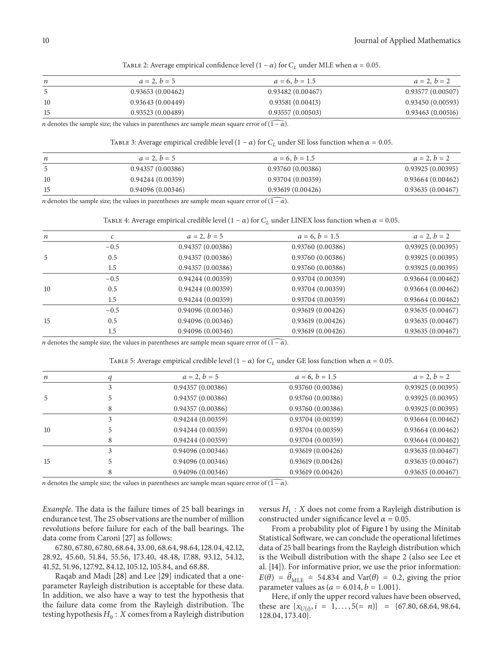TABLE 2: Average empirical confidence level  $(1 - \alpha)$  for  $C_L$  under MLE when  $\alpha = 0.05$ .

| n  | $a = 2, b = 5$   | $a = 6, b = 1.5$ | $a = 2, b = 2$   |
|----|------------------|------------------|------------------|
|    | 0.93653(0.00462) | 0.93482(0.00467) | 0.93577(0.00507) |
| 10 | 0.93643(0.00449) | 0.93581(0.00413) | 0.93450(0.00593) |
| 15 | 0.93523(0.00489) | 0.93557(0.00503) | 0.93463(0.00516) |
|    |                  |                  |                  |

*n* denotes the sample size; the values in parentheses are sample mean square error of  $(\widehat{1 - \alpha})$ .

TABLE 3: Average empirical credible level (1 –  $\alpha$ ) for  $C_L$  under SE loss function when  $\alpha = 0.05$ .

| n  | $a = 2, b = 5$   | $a = 6, b = 1.5$ | $a = 2, b = 2$   |
|----|------------------|------------------|------------------|
|    | 0.94357(0.00386) | 0.93760(0.00386) | 0.93925(0.00395) |
| 10 | 0.94244(0.00359) | 0.93704(0.00359) | 0.93664(0.00462) |
| 15 | 0.94096(0.00346) | 0.93619(0.00426) | 0.93635(0.00467) |
|    |                  |                  |                  |

*n* denotes the sample size; the values in parentheses are sample mean square error of  $(1 - \alpha)$ .

TABLE 4: Average empirical credible level (1 –  $\alpha$ ) for  $C_L$  under LINEX loss function when  $\alpha = 0.05$ .

| $\boldsymbol{n}$ | с      | $a = 2, b = 5$   | $a = 6, b = 1.5$ | $a = 2, b = 2$   |
|------------------|--------|------------------|------------------|------------------|
|                  | $-0.5$ | 0.94357(0.00386) | 0.93760(0.00386) | 0.93925(0.00395) |
| 5                | 0.5    | 0.94357(0.00386) | 0.93760(0.00386) | 0.93925(0.00395) |
|                  | 1.5    | 0.94357(0.00386) | 0.93760(0.00386) | 0.93925(0.00395) |
|                  | $-0.5$ | 0.94244(0.00359) | 0.93704(0.00359) | 0.93664(0.00462) |
| 10               | 0.5    | 0.94244(0.00359) | 0.93704(0.00359) | 0.93664(0.00462) |
|                  | 1.5    | 0.94244(0.00359) | 0.93704(0.00359) | 0.93664(0.00462) |
| 15               | $-0.5$ | 0.94096(0.00346) | 0.93619(0.00426) | 0.93635(0.00467) |
|                  | 0.5    | 0.94096(0.00346) | 0.93619(0.00426) | 0.93635(0.00467) |
|                  | 1.5    | 0.94096(0.00346) | 0.93619(0.00426) | 0.93635(0.00467) |

*n* denotes the sample size; the values in parentheses are sample mean square error of  $(\widehat{1 - \alpha})$ .

TABLE 5: Average empirical credible level  $(1 - \alpha)$  for  $C_L$  under GE loss function when  $\alpha = 0.05$ .

| $\boldsymbol{n}$ |   | $a = 2, b = 5$   | $a = 6, b = 1.5$ | $a = 2, b = 2$   |
|------------------|---|------------------|------------------|------------------|
|                  |   | 0.94357(0.00386) | 0.93760(0.00386) | 0.93925(0.00395) |
| 5                |   | 0.94357(0.00386) | 0.93760(0.00386) | 0.93925(0.00395) |
|                  | 8 | 0.94357(0.00386) | 0.93760(0.00386) | 0.93925(0.00395) |
|                  |   | 0.94244(0.00359) | 0.93704(0.00359) | 0.93664(0.00462) |
| 10               |   | 0.94244(0.00359) | 0.93704(0.00359) | 0.93664(0.00462) |
|                  | 8 | 0.94244(0.00359) | 0.93704(0.00359) | 0.93664(0.00462) |
|                  |   | 0.94096(0.00346) | 0.93619(0.00426) | 0.93635(0.00467) |
| 15               |   | 0.94096(0.00346) | 0.93619(0.00426) | 0.93635(0.00467) |
|                  | 8 | 0.94096(0.00346) | 0.93619(0.00426) | 0.93635(0.00467) |
|                  |   |                  |                  |                  |

*n* denotes the sample size; the values in parentheses are sample mean square error of  $(\widehat{1 - \alpha})$ .

*Example*. The data is the failure times of 25 ball bearings in endurance test.The 25 observations are the number of million revolutions before failure for each of the ball bearings. The data come from Caroni [27] as follows:

67.80, 67.80, 67.80, 68.64, 33.00, 68.64, 98.64, 128.04, 42.12, 28.92, 45.60, 51.84, 55.56, 173.40, 48.48, 17.88, 93.12, 54.12, 41.52, 51.96, 127.92, 84.12, 105.12, 105.84, and 68.88.

Raqab and Madi [28] and Lee [29] indicated that a oneparameter Rayleigh distribution is acceptable for these data. In addition, we also have a way to test the hypothesis that the failure data come from the Rayleigh distribution. The testing hypothesis  $H_0 : X$  comes from a Rayleigh distribution versus  $H_1$ : X does not come from a Rayleigh distribution is constructed under significance level  $\alpha$  = 0.05.

From a probability plot of Figure 1 by using the Minitab Statistical Software, we can conclude the operational lifetimes data of 25 ball bearings from the Rayleigh distribution which is the Weibull distribution with the shape 2 (also see Lee et al. [14]). For informative prior, we use the prior information:  $E(\theta) = \hat{\theta}_{MLE} = 54.834$  and Var( $\theta$ ) = 0.2, giving the prior parameter values as  $(a = 6.014, b = 1.001)$ .

Here, if only the upper record values have been observed, these are  $\{x_{U(i)}, i = 1, ..., 5(= n)\} = \{67.80, 68.64, 98.64,$ 128.04, 173.40}.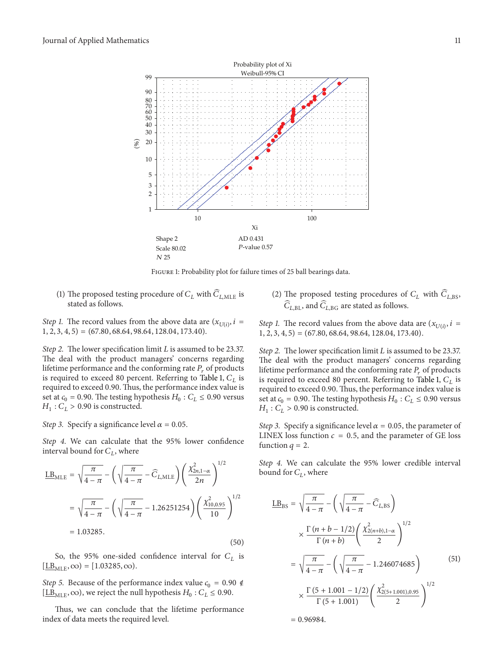

Figure 1: Probability plot for failure times of 25 ball bearings data.

(1) The proposed testing procedure of  $C_L$  with  $\overline{C}_{L,\text{MLE}}$  is stated as follows.

*Step 1.* The record values from the above data are  $(x_{U(i)}, i =$ 1, 2, 3, 4, 5) = (67.80, 68.64, 98.64, 128.04, 173.40).

*Step 2.* The lower specification limit *L* is assumed to be 23.37. The deal with the product managers' concerns regarding lifetime performance and the conforming rate  $P_r$  of products is required to exceed 80 percent. Referring to Table 1,  $C_L$  is required to exceed 0.90. Thus, the performance index value is set at  $c_0 = 0.90$ . The testing hypothesis  $H_0 : C_L \leq 0.90$  versus  $H_1$ :  $C_L$  > 0.90 is constructed.

*Step 3.* Specify a significance level  $\alpha = 0.05$ .

*Step 4.* We can calculate that the <sup>95</sup>% lower confidence interval bound for  $C_L$ , where

$$
\underline{\text{LB}}_{\text{MLE}} = \sqrt{\frac{\pi}{4 - \pi}} - \left(\sqrt{\frac{\pi}{4 - \pi}} - \widehat{C}_{L, \text{MLE}}\right) \left(\frac{\chi_{2n, 1-\alpha}^2}{2n}\right)^{1/2}
$$

$$
= \sqrt{\frac{\pi}{4 - \pi}} - \left(\sqrt{\frac{\pi}{4 - \pi}} - 1.26251254\right) \left(\frac{\chi_{10, 0.95}^2}{10}\right)^{1/2}
$$

$$
= 1.03285. \tag{50}
$$

So, the 95% one-sided confidence interval for  $C_L$  is  $[\underline{LB}_{MLE}, \infty) = [1.03285, \infty).$ 

*Step 5.* Because of the performance index value  $c_0 = 0.90 \notin$  $[\underline{LB}_{MLE}, \infty)$ , we reject the null hypothesis  $H_0 : C_L \leq 0.90$ .

Thus, we can conclude that the lifetime performance index of data meets the required level.

(2) The proposed testing procedures of  $C_L$  with  $\overline{C}_{L,\text{BS}}$ ,  $\widehat{C}_{L,\text{BL}}$ , and  $\widehat{C}_{L,\text{BG}}$  are stated as follows.

*Step 1.* The record values from the above data are  $(x_{U(i)}, i =$  $1, 2, 3, 4, 5$  = (67.80, 68.64, 98.64, 128.04, 173.40).

*Step 2.* The lower specification limit *L* is assumed to be 23.37. The deal with the product managers' concerns regarding lifetime performance and the conforming rate  $P_r$  of products is required to exceed 80 percent. Referring to Table 1,  $C_L$  is required to exceed 0.90. Thus, the performance index value is set at  $c_0 = 0.90$ . The testing hypothesis  $H_0 : C_L \leq 0.90$  versus  $H_1$ :  $C_L$  > 0.90 is constructed.

*Step 3.* Specify a significance level  $\alpha = 0.05$ , the parameter of LINEX loss function  $c = 0.5$ , and the parameter of GE loss function  $q = 2$ .

*Step 4.* We can calculate the <sup>95</sup>% lower credible interval bound for  $C_L$ , where

$$
\underline{LB}_{BS} = \sqrt{\frac{\pi}{4 - \pi}} - \left(\sqrt{\frac{\pi}{4 - \pi}} - \widehat{C}_{L,BS}\right)
$$
\n
$$
\times \frac{\Gamma(n + b - 1/2)}{\Gamma(n + b)} \left(\frac{\chi_{2(n + b), 1 - \alpha}^2}{2}\right)^{1/2}
$$
\n
$$
= \sqrt{\frac{\pi}{4 - \pi}} - \left(\sqrt{\frac{\pi}{4 - \pi}} - 1.246074685\right)
$$
\n
$$
\times \frac{\Gamma(5 + 1.001 - 1/2)}{\Gamma(5 + 1.001)} \left(\frac{\chi_{2(5 + 1.001), 0.95}^2}{2}\right)^{1/2}
$$
\n= 0.96984.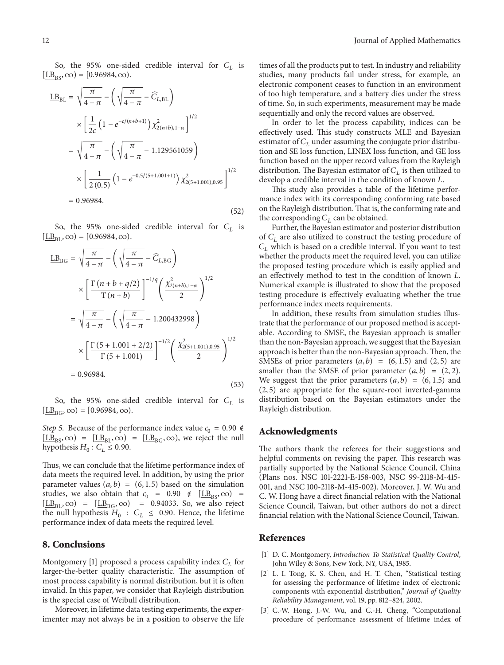So, the 95% one-sided credible interval for  $C_L$  is  $[LB_{RS}, \infty) = [0.96984, \infty).$ 

$$
\underline{LB}_{BL} = \sqrt{\frac{\pi}{4-\pi}} - \left(\sqrt{\frac{\pi}{4-\pi}} - \widehat{C}_{L,BL}\right)
$$
  
\n
$$
\times \left[\frac{1}{2c} \left(1 - e^{-c/(n+b+1)}\right) \chi_{2(n+b),1-\alpha}^2\right]^{1/2}
$$
  
\n
$$
= \sqrt{\frac{\pi}{4-\pi}} - \left(\sqrt{\frac{\pi}{4-\pi}} - 1.129561059\right)
$$
  
\n
$$
\times \left[\frac{1}{2(0.5)} \left(1 - e^{-0.5/(5+1.001+1)}\right) \chi_{2(5+1.001),0.95}^2\right]^{1/2}
$$
  
\n= 0.96984. (52)

So, the 95% one-sided credible interval for  $C_L$  is  $[\underline{LB}_{\text{RI}}, \infty) = [0.96984, \infty).$ 

$$
\underline{LB}_{BG} = \sqrt{\frac{\pi}{4-\pi}} - \left(\sqrt{\frac{\pi}{4-\pi}} - \widehat{C}_{L,BG}\right)
$$
  
\n
$$
\times \left[\frac{\Gamma(n+b+q/2)}{\Gamma(n+b)}\right]^{-1/q} \left(\frac{\chi^2_{2(n+b),1-\alpha}}{2}\right)^{1/2}
$$
  
\n
$$
= \sqrt{\frac{\pi}{4-\pi}} - \left(\sqrt{\frac{\pi}{4-\pi}} - 1.200432998\right)
$$
  
\n
$$
\times \left[\frac{\Gamma(5+1.001+2/2)}{\Gamma(5+1.001)}\right]^{-1/2} \left(\frac{\chi^2_{2(5+1.001),0.95}}{2}\right)^{1/2}
$$
  
\n= 0.96984. (53)

So, the 95% one-sided credible interval for  $C_L$  is  $[\underline{LB}_{BG}, \infty) = [0.96984, \infty).$ 

*Step 5.* Because of the performance index value  $c_0 = 0.90 \notin$  $[\underline{LB}_{BS}, \infty) = [\underline{LB}_{BL}, \infty) = [\underline{LB}_{BG}, \infty)$ , we reject the null hypothesis  $H_0 : C_L \leq 0.90$ .

Thus, we can conclude that the lifetime performance index of data meets the required level. In addition, by using the prior parameter values  $(a, b) = (6, 1.5)$  based on the simulation studies, we also obtain that  $c_0 = 0.90 \notin [\underline{LB}_{BS}, \infty)$  =  $[\underline{LB}_{BL}, \infty) = [\underline{LB}_{BG}, \infty) = 0.94033$ . So, we also reject the null hypothesis  $H_0 : C_L \leq 0.90$ . Hence, the lifetime performance index of data meets the required level.

### **8. Conclusions**

Montgomery [1] proposed a process capability index  $C_L$  for larger-the-better quality characteristic. The assumption of most process capability is normal distribution, but it is often invalid. In this paper, we consider that Rayleigh distribution is the special case of Weibull distribution.

Moreover, in lifetime data testing experiments, the experimenter may not always be in a position to observe the life times of all the products put to test. In industry and reliability studies, many products fail under stress, for example, an electronic component ceases to function in an environment of too high temperature, and a battery dies under the stress of time. So, in such experiments, measurement may be made sequentially and only the record values are observed.

In order to let the process capability, indices can be effectively used. This study constructs MLE and Bayesian estimator of  $C_L$  under assuming the conjugate prior distribution and SE loss function, LINEX loss function, and GE loss function based on the upper record values from the Rayleigh distribution. The Bayesian estimator of  $C_L$  is then utilized to develop a credible interval in the condition of known  $L$ .

This study also provides a table of the lifetime performance index with its corresponding conforming rate based on the Rayleigh distribution. That is, the conforming rate and the corresponding  $C_L$  can be obtained.

Further, the Bayesian estimator and posterior distribution of  $C_L$  are also utilized to construct the testing procedure of  $C_L$  which is based on a credible interval. If you want to test  $C_L$ whether the products meet the required level, you can utilize the proposed testing procedure which is easily applied and an effectively method to test in the condition of known L. Numerical example is illustrated to show that the proposed testing procedure is effectively evaluating whether the true performance index meets requirements.

In addition, these results from simulation studies illustrate that the performance of our proposed method is acceptable. According to SMSE, the Bayesian approach is smaller than the non-Bayesian approach, we suggest that the Bayesian approach is better than the non-Bayesian approach.Then, the SMSEs of prior parameters  $(a, b) = (6, 1.5)$  and  $(2, 5)$  are smaller than the SMSE of prior parameter  $(a, b) = (2, 2)$ . We suggest that the prior parameters  $(a, b) = (6, 1.5)$  and (2, 5) are appropriate for the square-root inverted-gamma distribution based on the Bayesian estimators under the Rayleigh distribution.

#### **Acknowledgments**

The authors thank the referees for their suggestions and helpful comments on revising the paper. This research was partially supported by the National Science Council, China (Plans nos. NSC 101-2221-E-158-003, NSC 99-2118-M-415- 001, and NSC 100-2118-M-415-002). Moreover, J. W. Wu and C. W. Hong have a direct financial relation with the National Science Council, Taiwan, but other authors do not a direct financial relation with the National Science Council, Taiwan.

#### **References**

- [1] D. C. Montgomery, *Introduction To Statistical Quality Control*, John Wiley & Sons, New York, NY, USA, 1985.
- [2] L. I. Tong, K. S. Chen, and H. T. Chen, "Statistical testing for assessing the performance of lifetime index of electronic components with exponential distribution," *Journal of Quality Reliability Management*, vol. 19, pp. 812–824, 2002.
- [3] C.-W. Hong, J.-W. Wu, and C.-H. Cheng, "Computational procedure of performance assessment of lifetime index of